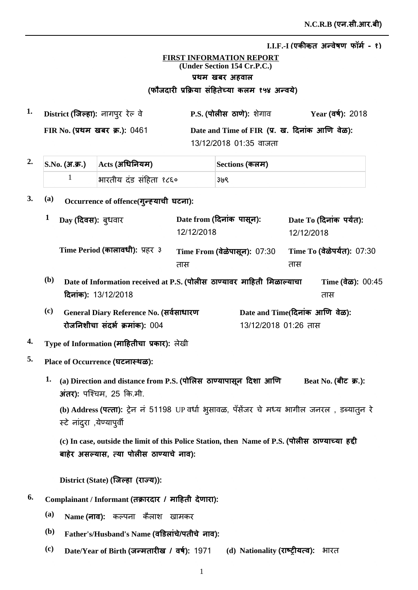<u>I.I.F.-I (एकीकत अन्वेषण फॉर्म - १)</u>

## **FIRST INFORMATION REPORT (Under Section 154 Cr.P.C.)** प्रथम खबर अहवाल (फौजदारी प्रक्रिया सहितेच्या कलम १५४ अन्वर्य)

**1. P.S. District Ȫȣ ȡȯ** ȯȡ **ǔã¡ȡ**ȡǕȯãȯ **Year FIR No.** प्रथम खबर क्र.): 0461 Date and Time of FIR (प्र. ख. दिनाक आणि वेळ): 13/12/2018 01:35 वाजता Year (वर्ष): 2018

|  | $2.$ S.No. (अ.क.) $\phantom{1}$ Acts (अधिनियम) | Sections (कलम) |  |
|--|------------------------------------------------|----------------|--|
|  | भारतीय दंड संहिता १८६०                         | ३७९            |  |

3. (a) Occurrence of offence(गुन्ह्याची घटना):

|            | Day (दिवस): ब्धवार                                                                            | Date from (दिनांक पासून):<br>12/12/2018 |                                                        | 12/12/2018 | Date To (दिनांक पर्यंत):             |
|------------|-----------------------------------------------------------------------------------------------|-----------------------------------------|--------------------------------------------------------|------------|--------------------------------------|
|            | Time Period (कालावधी): प्रहर ३                                                                | Time From (वेळेपासून): 07:30<br>तास     |                                                        | तास        | Time To (वेळेपर्यंत): 07:30          |
| <b>(b)</b> | Date of Information received at P.S. (पोलीस ठाण्यावर माहिती मिळाल्याचा<br>दिनांक): 13/12/2018 |                                         |                                                        |            | Time $(\frac{1}{60})$ : 00:45<br>तास |
| (c)        | General Diary Reference No. (सर्वसाधारण<br>रोजनिशीचा संदर्भ क्रमांक): 004                     |                                         | Date and Time(दिनांक आणि वेळ):<br>13/12/2018 01:26 तास |            |                                      |

- **<sup>4.</sup> Type of Information (माहितीचा प्रकार):** लेखी
- **5. Place of Occurrence ȡè**
	- Beat No. (बीट) क्र.):  $1.$  (a) Direction and distance from P.S. (पोलिस) ठाण्यापासून दिशा आणि  $\overline{3}$ **iat**): पश्चिम, 25 कि.मी.

(b) Address **(पत्ता):** ट्रेन न 51198 UP वधो भुसावळ, पॅसेजर चे मध्य भागील जनरल , डब्यातुन रे स्टे नांदुरा ,येण्यापुर्वी

(c) In case, outside the limit of this Police Station, then Name of P.S. (पोलीस ठाण्याच्या हद्दी बाहेर असल्यास, त्या पोलीस ठाण्याचे नाव):

 $\textbf{District (State) (}$ जिल्हा (राज्य)):

- $^{6.}$  Complainant / Informant (तक्रारदार / माहिती देणारा):
	- $^{(a)}$  **Name (नाव):** कल्पना कैलाश खामकर
	- $^{\rm (b)}$  Father's/Husband's Name (वडिलांचे/पतीचे नाव):
	- $^{\rm (c)}$  **Date/Year of Birth (जन्मतारीख / वर्ष): 1971 (d) Nationality (<b>राष्ट्रीयत्व):** भारत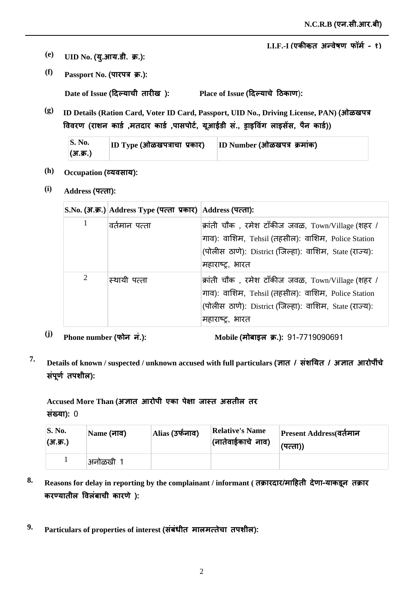<u>I.I.F.-I (एकीकत अन्वेषण फॉर्म - १)</u>

- $\bf (e)$  **UID No. (यु.आय.डी. क्र.):**
- *(f)* **Passport No. (पारपत्र क्र.):**

 $\mathbf{Place} \text{ of } \mathbf{I} \text{ s}$ sue (दिल्याचे ठिकाण):  $\bf{Date \ of \ Issue}$  (दिल्याची तारीख ):

**(g) ID Details (Ration Card, Voter ID Card, Passport, UID No., Driving License, PAN) jğ** विवरण (राशन कार्ड ,मतदार कार्ड ,पासपोर्ट, यूआईडी स., ड्राइविंग लाइसेस, पैन कार्ड))

| $\mathbf{S}$ . No. | $ ID\;Type\;(H\bar{a}$ ळखपत्राचा प्रकार) | ID Number (ओळखपत्र क्रमांक) |
|--------------------|------------------------------------------|-----------------------------|
| (3T.3T.)           |                                          |                             |

- (h) **Occupation (व्यवसाय):**
- **(i) Address ×ȡ**

|   | S.No. (अ.क्र.) Address Type (पत्ता प्रकार) Address (पत्ता): |                                                                                                                                                                                                          |
|---|-------------------------------------------------------------|----------------------------------------------------------------------------------------------------------------------------------------------------------------------------------------------------------|
| 1 | वर्तमान पत्ता                                               | क्रांती चौक, रमेश टाँकीज जवळ, Town/Village (शहर /<br>गाव): वाशिम, Tehsil (तहसील): वाशिम, Police Station<br>(पोलीस ठाणे): District (जिल्हा): वाशिम, State (राज्य):<br>महाराष्ट्र, भारत                    |
| 2 | स्थायी पत्ता                                                | क्रांती चौक , रमेश टाँकीज जवळ, $\operatorname{Town/Village}$ (शहर /<br>गाव): वाशिम, Tehsil (तहसील): वाशिम, Police Station<br>(पोलीस ठाणे): District (जिल्हा): वाशिम, State (राज्य):<br> महाराष्ट्र, भारत |

<sup>(j)</sup> Phone number (फोन नं.): Mobile (

Mobile (मोबाइल क्र.): 91-7719090691

<sup>7.</sup> Details of known / suspected / unknown accused with full particulars (ज्ञात / संशयित / अज्ञात आरोपींचे संपूर्ण तपशील):

Accused More Than (अज्ञात आरोपी एका पेक्षा जास्त असतील तर **संख्या): 0** 

| <b>S. No.</b><br>(अ.क्र.) | Name (नाव) | Alias (उर्फनाव) | <b>Relative's Name</b><br>(नातेवाईकाचे नाव) | Present Address(वर्तमान<br>(पत्ता)) |
|---------------------------|------------|-----------------|---------------------------------------------|-------------------------------------|
|                           | अनोळखी     |                 |                                             |                                     |

- 8. Reasons for delay in reporting by the complainant / informant ( तक्रारदार/माहिती देणा-याकडून तक्रार करण्यातील विलंबाची कारणे ):
- $^9$ · Particulars of properties of interest (संबंधीत मालमत्तेचा तपशील):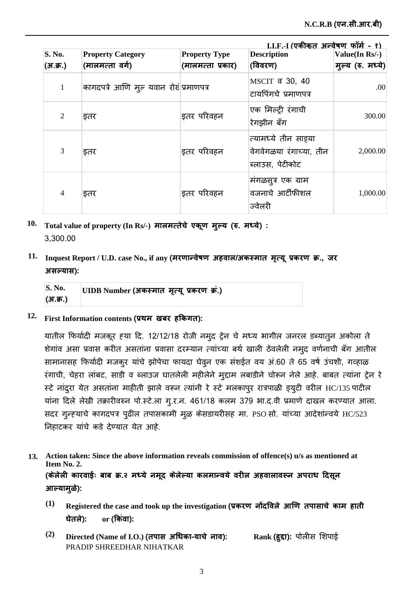|                |                                        |                      | I.I.F.-I (एकीकत अन्वेषण फॉर्म - १)                                 |                   |
|----------------|----------------------------------------|----------------------|--------------------------------------------------------------------|-------------------|
| S. No.         | <b>Property Category</b>               | <b>Property Type</b> | <b>Description</b>                                                 | Value(In Rs/-)    |
| (अ.क्र.)       | (मालमत्ता वर्ग)                        | (मालमत्ता प्रकार)    | (विवरण)                                                            | मुल्य (रु. मध्ये) |
| $\mathbf{1}$   | कागदपत्रे आणि मुल यवान रोखं प्रमाणपत्र |                      | MSCIT व 30, 40<br>टायपिंगचे प्रमाणपत्र                             | .00.              |
| $\overline{2}$ | इतर                                    | इतर परिवहन           | एक मिल्ट्री रंगाची<br>रेगझीन बँग                                   | 300.00            |
| 3              | इतर                                    | इतर परिवहन           | त्यामध्ये तीन साड़या<br>वेगवेगळया रंगाच्या, तीन<br>ब्लाउस, पेटीकोट | 2,000.00          |
| $\overline{4}$ | इतर                                    | इतर परिवहन           | मंगळसूत्र एक ग्राम<br>वजनाचे आर्टीफीशल<br>ज्वेलरी                  | 1,000.00          |

 $10$ . Total value of property (In Rs/-) मालमत्तेचे एकूण मुल्य (रु. मध्ये) : 3,300.00

## $11.$  Inquest Report / U.D. case No., if any (मरणान्वेषण अहवाल/अकस्मात मृत्यू प्रकरण क्र., जर  $\overline{\mathbf{a}}$  असल्यास):

| S. No.   | UIDB Number (अकस्मात मृत्यू प्रकरण क्र.) |
|----------|------------------------------------------|
| (अ.क्र.) |                                          |

## $12$ . First Information contents (प्रथम) खबर हकिगत):

यातील फिर्यादी मजकूर हया दि. 12/12/18 रोजी नमुद ट्रेन चे मध्य भागील जनरल डब्यातुन अकोला ते शेगांव असा प्रवास करीत असतांना प्रवासा दरम्यान त्यांच्या बर्थ खाली ठेवलेली नमुद वर्णनाची बँग आतील सामानासह फिर्यादी मजकुर यांचे झोपेचा फायदा घेवून एक संशईत वय अं.60 ते 65 वर्ष उंचशी, गव्हाळ रंगाची, चेहरा लांबट, साडी व ब्लाउज घातलेली महीलेने मुद्दाम लबाडीने चोरून नेले आहे. बाबत त्यांना ट्रेन रे स्टे नांदुरा येत असतांना माहीती झाले वरून त्यांनी रे स्टे मलकापुर रात्रपाळी ड्युटी वरील HC/135 पाटील यांना दिले लेखी तक्रारीवरुन पो.स्टे.ला गु.र.न. 461/18 कलम 379 भा.द.वी प्रमाणे दाखल करण्यात आला. सदर गुन्ह्याचे कागदपत्र पुढील तपासकामी मूळ केसडायरीसह मा. PSO सो. यांच्या आदेशांन्वये HC/523 निहाटकर यांचे कडे देण्यात येत आहे.

- **Action taken: Since the above information reveals commission of offence(s) u/s as mentioned at 13. Item No. 2.** (केलेली कारवाईः बाब क्र.२ मध्ये नमूद केलेल्या कलमान्वये वरील अहवालावरून अपराध दिसून आल्यामुळे):
	- $^{(1)}$   $\;$  Registered the case and took up the investigation (प्रकरण *नोंदविले आणि तपासाचे काम हाती* **घेतले):** <u>or</u> (किंवा):
	- $^{(2)}$  Directed (Name of I.O.) (तपास अधिका-याचे नाव): PRADIP SHREEDHAR NIHATKAR **Rank (हुद्दा):** पोलीस शिपाई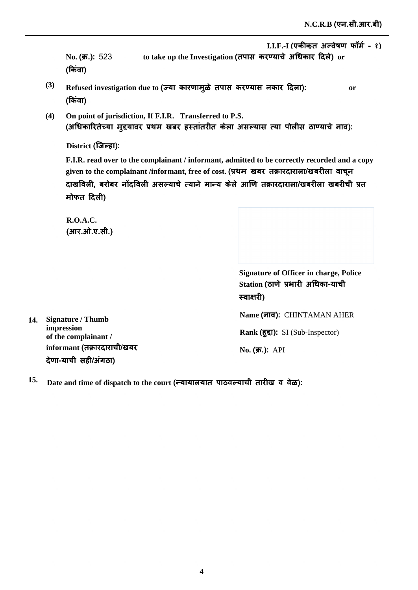<u>I.I.F.-I (एकीकत अन्वेषण फॉर्म - १)</u>

**No.** (**क्र.**): 523 क्र.): 523 to take up the Investigation (तपास करण्याचे अधिकार दिले) or (किवा)

- **(3)** Refused investigation due to (ज्या कारणामुळे तपास करण्यास नकार दिला): or (किवा)
- **(4) On point of jurisdiction, If F.I.R. Transferred to P.S.** (अधिकारितेच्या मुद्दयावर प्रथम खबर हस्तातरीत केला असल्यास त्या पोलीस ठाण्याचे नाव):

<u>District (जिल्हा):</u>

**F.I.R. read over to the complainant / informant, admitted to be correctly recorded and a copy**  given to the complainant /informant, free of cost. (प्रथम) खबर) तक्रारदाराला/खबरीला) वाचून दाखविली, बरोबर नोंदविली असल्याचे त्याने मान्य केले आणि तक्रारदाराला/खबरीला खबरीची प्रत **मोफत दिली)** 

**R.O.A.C.**  (आर.ओ.ए.सी.)

> **Signature of Officer in charge, Police**  Station (ठाणे प्रभारी अधिका-याची **स्वाक्षारी)**

**14. Signature / Thumb impression of the complainant /**  informant (तक्रारदाराची/खबर <u>देणा-याची सही/अंगठा)</u>

**Name ȡ**CHINTAMAN AHER

Rank (हुद्दा): SI (Sub-Inspector)

**No. (क्र.):** API

 $^{15.}$  Date and time of dispatch to the court (न्यायालयात पाठवल्याची तारीख व वेळ):